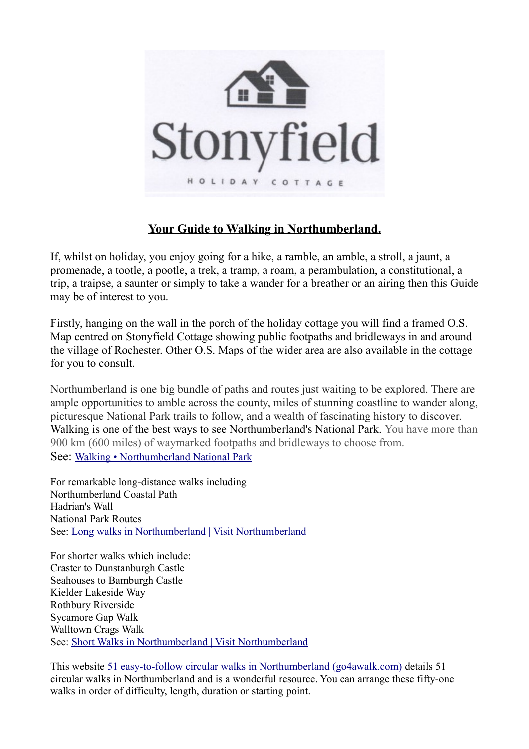

## **Your Guide to Walking in Northumberland.**

If, whilst on holiday, you enjoy going for a hike, a ramble, an amble, a stroll, a jaunt, a promenade, a tootle, a pootle, a trek, a tramp, a roam, a perambulation, a constitutional, a trip, a traipse, a saunter or simply to take a wander for a breather or an airing then this Guide may be of interest to you.

Firstly, hanging on the wall in the porch of the holiday cottage you will find a framed O.S. Map centred on Stonyfield Cottage showing public footpaths and bridleways in and around the village of Rochester. Other O.S. Maps of the wider area are also available in the cottage for you to consult.

Northumberland is one big bundle of paths and routes just waiting to be explored. There are ample opportunities to amble across the county, miles of stunning coastline to wander along, picturesque National Park trails to follow, and a wealth of fascinating history to discover. Walking is one of the best ways to see Northumberland's National Park. You have more than 900 km (600 miles) of waymarked footpaths and bridleways to choose from. See: [Walking • Northumberland National Park](https://www.northumberlandnationalpark.org.uk/things-to-do/get-active-outdoors/walking/)

For remarkable long-distance walks including Northumberland Coastal Path Hadrian's Wall National Park Routes See: [Long walks in Northumberland | Visit Northumberland](https://www.visitnorthumberland.com/explore/things-to-do/activities/walking-hiking/long-walks)

For shorter walks which include: Craster to Dunstanburgh Castle Seahouses to Bamburgh Castle Kielder Lakeside Way Rothbury Riverside Sycamore Gap Walk Walltown Crags Walk See: [Short Walks in Northumberland | Visit Northumberland](https://www.visitnorthumberland.com/explore/things-to-do/activities/walking-hiking/short-walks)

This website [51 easy-to-follow circular walks in Northumberland \(go4awalk.com\)](https://www.go4awalk.com/walks/uk-county-walks/walks-in-northumberland.php) details 51 circular walks in Northumberland and is a wonderful resource. You can arrange these fifty-one walks in order of difficulty, length, duration or starting point.